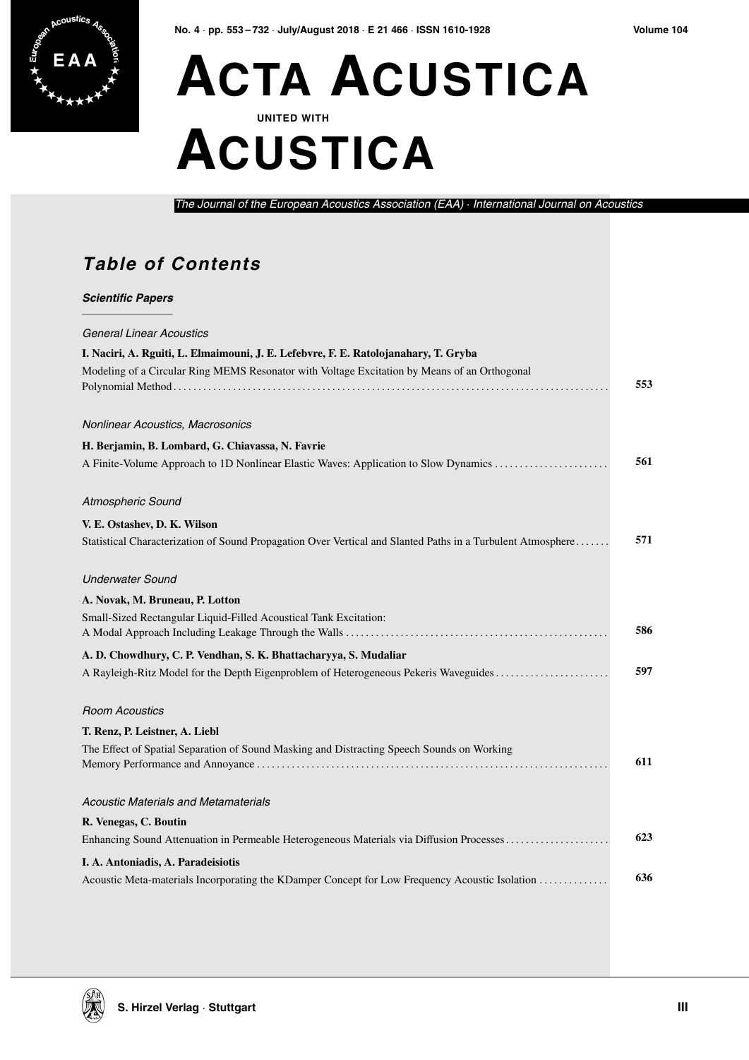

## **E A A ACTA ACUSTICA UNITED WITH**

# **ACUSTICA**

*The Journal of the European Acoustics Association (EAA)* · *International Journal on Acoustics*

#### **Table of Contents**

*Scientific Papers*

| Sultininu rapti s                                                                                           |     |
|-------------------------------------------------------------------------------------------------------------|-----|
| <b>General Linear Acoustics</b>                                                                             |     |
| I. Naciri, A. Rguiti, L. Elmaimouni, J. E. Lefebvre, F. E. Ratolojanahary, T. Gryba                         |     |
| Modeling of a Circular Ring MEMS Resonator with Voltage Excitation by Means of an Orthogonal                | 553 |
| Nonlinear Acoustics, Macrosonics                                                                            |     |
| H. Berjamin, B. Lombard, G. Chiavassa, N. Favrie                                                            |     |
| A Finite-Volume Approach to 1D Nonlinear Elastic Waves: Application to Slow Dynamics                        | 561 |
| Atmospheric Sound                                                                                           |     |
| V. E. Ostashev, D. K. Wilson                                                                                |     |
| Statistical Characterization of Sound Propagation Over Vertical and Slanted Paths in a Turbulent Atmosphere | 571 |
| <b>Underwater Sound</b>                                                                                     |     |
| A. Novak, M. Bruneau, P. Lotton                                                                             |     |
| Small-Sized Rectangular Liquid-Filled Acoustical Tank Excitation:                                           | 586 |
| A. D. Chowdhury, C. P. Vendhan, S. K. Bhattacharyya, S. Mudaliar                                            |     |
| A Rayleigh-Ritz Model for the Depth Eigenproblem of Heterogeneous Pekeris Waveguides                        | 597 |
| <b>Room Acoustics</b>                                                                                       |     |
| T. Renz, P. Leistner, A. Liebl                                                                              |     |
| The Effect of Spatial Separation of Sound Masking and Distracting Speech Sounds on Working                  |     |
|                                                                                                             | 611 |
| <b>Acoustic Materials and Metamaterials</b>                                                                 |     |
| R. Venegas, C. Boutin                                                                                       |     |
| Enhancing Sound Attenuation in Permeable Heterogeneous Materials via Diffusion Processes                    | 623 |
| I. A. Antoniadis, A. Paradeisiotis                                                                          |     |
| Acoustic Meta-materials Incorporating the KDamper Concept for Low Frequency Acoustic Isolation              | 636 |
|                                                                                                             |     |